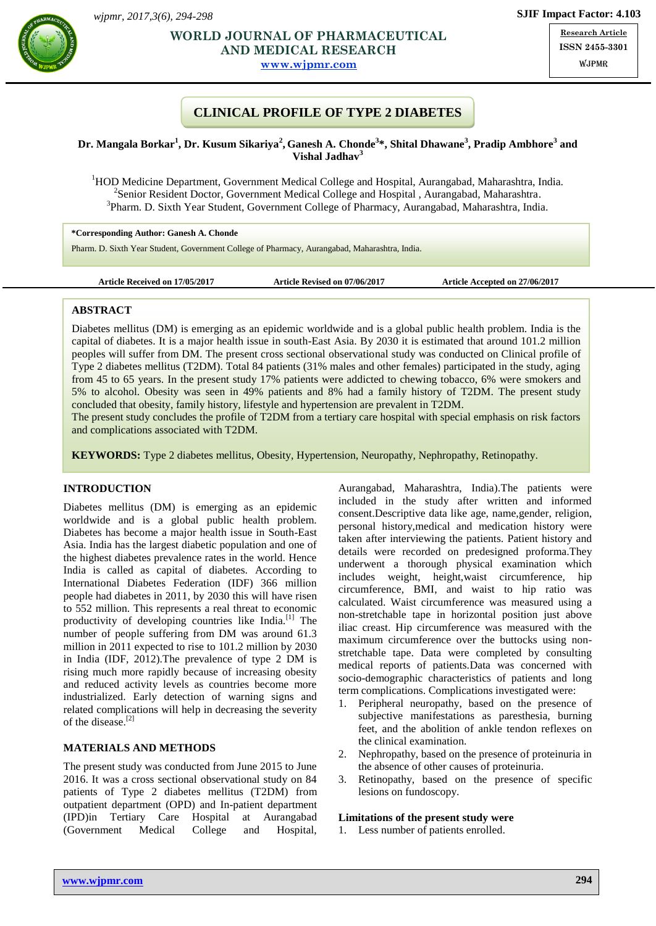

# **Ganes <b>Exception Exception Exception Exception Exception Exception Exception Exception Exception Exception Exception Exception Exception Exception Exception EXCEPTION AND MEDICAL RESEARCH**

**[www.wjpmr.com](http://www.wjpmr.com/)**

**Research Article ISSN 2455-3301** WJPMR

# **CLINICAL PROFILE OF TYPE 2 DIABETES**

### **Dr. Mangala Borkar<sup>1</sup> , Dr. Kusum Sikariya<sup>2</sup> , Ganesh A. Chonde<sup>3</sup> \*, Shital Dhawane<sup>3</sup> , Pradip Ambhore<sup>3</sup> and Vishal Jadhav<sup>3</sup>**

<sup>1</sup>HOD Medicine Department, Government Medical College and Hospital, Aurangabad, Maharashtra, India. <sup>2</sup>Senior Resident Doctor, Government Medical College and Hospital, Aurangabad, Maharashtra. <sup>3</sup>Pharm. D. Sixth Year Student, Government College of Pharmacy, Aurangabad, Maharashtra, India.

**\*Corresponding Author: Ganesh A. Chonde**

Pharm. D. Sixth Year Student, Government College of Pharmacy, Aurangabad, Maharashtra, India.

```
Article Received on 17/05/2017 Article Revised on 07/06/2017 Article Accepted on 27/06/2017
```
### **ABSTRACT**

Diabetes mellitus (DM) is emerging as an epidemic worldwide and is a global public health problem. India is the capital of diabetes. It is a major health issue in south-East Asia. By 2030 it is estimated that around 101.2 million peoples will suffer from DM. The present cross sectional observational study was conducted on Clinical profile of Type 2 diabetes mellitus (T2DM). Total 84 patients (31% males and other females) participated in the study, aging from 45 to 65 years. In the present study 17% patients were addicted to chewing tobacco, 6% were smokers and 5% to alcohol. Obesity was seen in 49% patients and 8% had a family history of T2DM. The present study concluded that obesity, family history, lifestyle and hypertension are prevalent in T2DM.

The present study concludes the profile of T2DM from a tertiary care hospital with special emphasis on risk factors and complications associated with T2DM.

**KEYWORDS:** Type 2 diabetes mellitus, Obesity, Hypertension, Neuropathy, Nephropathy, Retinopathy.

### **INTRODUCTION**

Diabetes mellitus (DM) is emerging as an epidemic worldwide and is a global public health problem. Diabetes has become a major health issue in South-East Asia. India has the largest diabetic population and one of the highest diabetes prevalence rates in the world. Hence India is called as capital of diabetes. According to International Diabetes Federation (IDF) 366 million people had diabetes in 2011, by 2030 this will have risen to 552 million. This represents a real threat to economic productivity of developing countries like India.<sup>[1]</sup> The number of people suffering from DM was around 61.3 million in 2011 expected to rise to 101.2 million by 2030 in India (IDF, 2012).The prevalence of type 2 DM is rising much more rapidly because of increasing obesity and reduced activity levels as countries become more industrialized. Early detection of warning signs and related complications will help in decreasing the severity of the disease.[2]

### **MATERIALS AND METHODS**

The present study was conducted from June 2015 to June 2016. It was a cross sectional observational study on 84 patients of Type 2 diabetes mellitus (T2DM) from outpatient department (OPD) and In-patient department (IPD)in Tertiary Care Hospital at Aurangabad (Government Medical College and Hospital,

Aurangabad, Maharashtra, India).The patients were included in the study after written and informed consent.Descriptive data like age, name,gender, religion, personal history,medical and medication history were taken after interviewing the patients. Patient history and details were recorded on predesigned proforma.They underwent a thorough physical examination which includes weight, height,waist circumference, hip circumference, BMI, and waist to hip ratio was calculated. Waist circumference was measured using a non-stretchable tape in horizontal position just above iliac creast. Hip circumference was measured with the maximum circumference over the buttocks using nonstretchable tape. Data were completed by consulting medical reports of patients.Data was concerned with socio-demographic characteristics of patients and long term complications. Complications investigated were:

- 1. Peripheral neuropathy, based on the presence of subjective manifestations as paresthesia, burning feet, and the abolition of ankle tendon reflexes on the clinical examination.
- 2. Nephropathy, based on the presence of proteinuria in the absence of other causes of proteinuria.
- 3. Retinopathy, based on the presence of specific lesions on fundoscopy.

#### **Limitations of the present study were**

1. Less number of patients enrolled.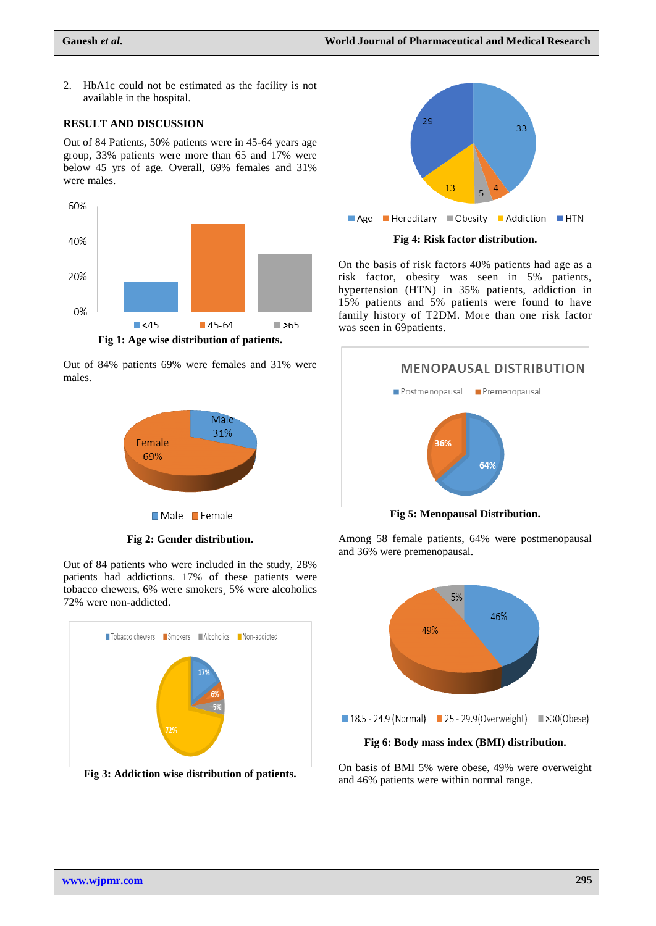2. HbA1c could not be estimated as the facility is not available in the hospital.

#### **RESULT AND DISCUSSION**

Out of 84 Patients, 50% patients were in 45-64 years age group, 33% patients were more than 65 and 17% were below 45 yrs of age. Overall, 69% females and 31% were males.



**Fig 1: Age wise distribution of patients.**

Out of 84% patients 69% were females and 31% were males.



**Fig 2: Gender distribution.**

Out of 84 patients who were included in the study, 28% patients had addictions. 17% of these patients were tobacco chewers, 6% were smokers¸ 5% were alcoholics 72% were non-addicted.



**Fig 3: Addiction wise distribution of patients.**



On the basis of risk factors 40% patients had age as a risk factor, obesity was seen in 5% patients, hypertension (HTN) in 35% patients, addiction in 15% patients and 5% patients were found to have family history of T2DM. More than one risk factor was seen in 69patients.



**Fig 5: Menopausal Distribution.**

Among 58 female patients, 64% were postmenopausal and 36% were premenopausal.



On basis of BMI 5% were obese, 49% were overweight and 46% patients were within normal range.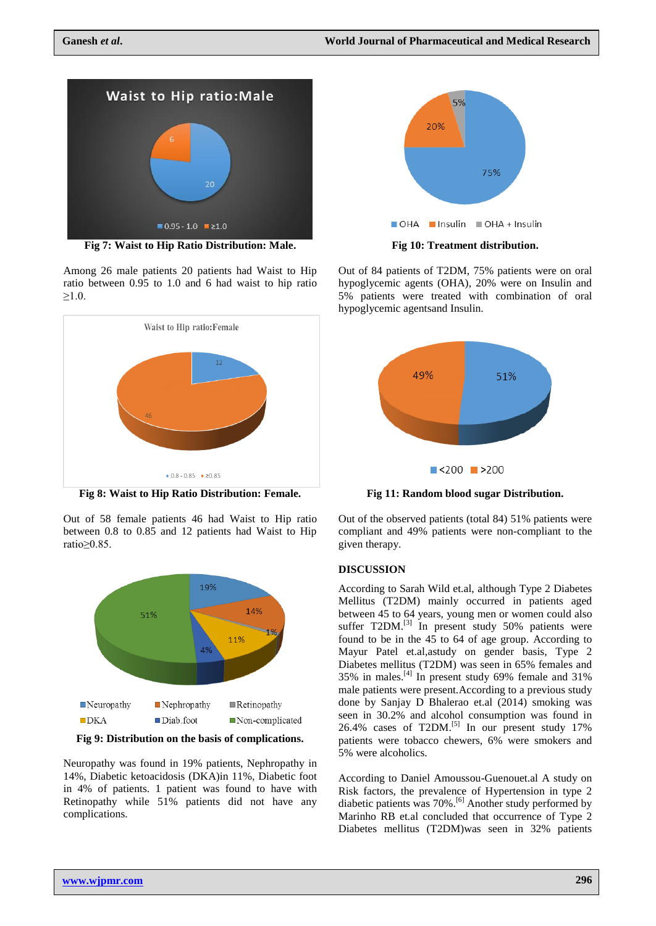

**Fig 7: Waist to Hip Ratio Distribution: Male.**

Among 26 male patients 20 patients had Waist to Hip ratio between 0.95 to 1.0 and 6 had waist to hip ratio  $≥1.0.$ 



**Fig 8: Waist to Hip Ratio Distribution: Female.**

Out of 58 female patients 46 had Waist to Hip ratio between 0.8 to 0.85 and 12 patients had Waist to Hip ratio≥0.85.



**Fig 9: Distribution on the basis of complications.**

Neuropathy was found in 19% patients, Nephropathy in 14%, Diabetic ketoacidosis (DKA)in 11%, Diabetic foot in 4% of patients. 1 patient was found to have with Retinopathy while 51% patients did not have any complications.



Out of 84 patients of T2DM, 75% patients were on oral hypoglycemic agents (OHA), 20% were on Insulin and 5% patients were treated with combination of oral hypoglycemic agentsand Insulin.



**Fig 11: Random blood sugar Distribution.**

Out of the observed patients (total 84) 51% patients were compliant and 49% patients were non-compliant to the given therapy.

#### **DISCUSSION**

According to Sarah Wild et.al, although Type 2 Diabetes Mellitus (T2DM) mainly occurred in patients aged between 45 to 64 years, young men or women could also suffer T2DM.<sup>[3]</sup> In present study 50% patients were found to be in the 45 to 64 of age group. According to Mayur Patel et.al,astudy on gender basis, Type 2 Diabetes mellitus (T2DM) was seen in 65% females and  $35\%$  in males.<sup>[4]</sup> In present study 69% female and 31% male patients were present.According to a previous study done by Sanjay D Bhalerao et.al (2014) smoking was seen in 30.2% and alcohol consumption was found in  $26.4\%$  cases of T2DM.<sup>[5]</sup> In our present study 17% patients were tobacco chewers, 6% were smokers and 5% were alcoholics.

According to Daniel Amoussou-Guenouet.al A study on Risk factors, the prevalence of Hypertension in type 2 diabetic patients was 70%.<sup>[6]</sup> Another study performed by Marinho RB et.al concluded that occurrence of Type 2 Diabetes mellitus (T2DM)was seen in 32% patients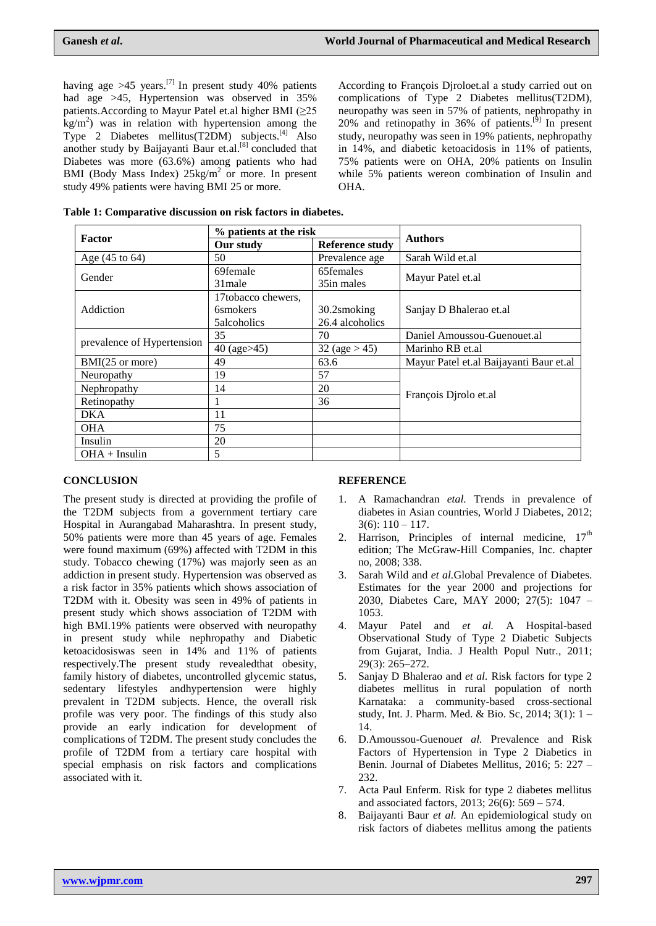having age  $>45$  years.<sup>[7]</sup> In present study 40% patients had age >45, Hypertension was observed in 35% patients.According to Mayur Patel et.al higher BMI (≥25  $\text{kg/m}^2$ ) was in relation with hypertension among the Type 2 Diabetes mellitus(T2DM) subjects.[4] Also another study by Baijayanti Baur et.al.<sup>[8]</sup> concluded that Diabetes was more (63.6%) among patients who had BMI (Body Mass Index)  $25\text{kg/m}^2$  or more. In present study 49% patients were having BMI 25 or more.

According to François Djroloet.al a study carried out on complications of Type 2 Diabetes mellitus(T2DM), neuropathy was seen in 57% of patients, nephropathy in  $20\%$  and retinopathy in 36% of patients.<sup>[9]</sup> In present study, neuropathy was seen in 19% patients, nephropathy in 14%, and diabetic ketoacidosis in 11% of patients, 75% patients were on OHA, 20% patients on Insulin while 5% patients wereon combination of Insulin and OHA.

|  | Table 1: Comparative discussion on risk factors in diabetes. |  |  |  |  |
|--|--------------------------------------------------------------|--|--|--|--|
|--|--------------------------------------------------------------|--|--|--|--|

| Factor                     | % patients at the risk |                  |                                         |  |
|----------------------------|------------------------|------------------|-----------------------------------------|--|
|                            | Our study              | Reference study  | <b>Authors</b>                          |  |
| Age $(45 \text{ to } 64)$  | 50                     | Prevalence age   | Sarah Wild et.al                        |  |
| Gender                     | 69female               | 65females        | Mayur Patel et.al                       |  |
|                            | 31 male                | 35in males       |                                         |  |
|                            | 17tobacco chewers,     |                  | Sanjay D Bhalerao et.al                 |  |
| Addiction                  | <b>6</b> smokers       | 30.2smoking      |                                         |  |
|                            | 5alcoholics            | 26.4 alcoholics  |                                         |  |
| prevalence of Hypertension | 35                     | 70               | Daniel Amoussou-Guenouet.al             |  |
|                            | 40 (age > 45)          | 32 (age $> 45$ ) | Marinho RB et.al                        |  |
| BMI(25 or more)            | 49                     | 63.6             | Mayur Patel et.al Baijayanti Baur et.al |  |
| Neuropathy                 | 19                     | 57               | François Dirolo et.al                   |  |
| Nephropathy                | 14                     | 20               |                                         |  |
| Retinopathy                |                        | 36               |                                         |  |
| DKA                        | 11                     |                  |                                         |  |
| <b>OHA</b>                 | 75                     |                  |                                         |  |
| Insulin                    | 20                     |                  |                                         |  |
| $OHA + Insulin$            | 5                      |                  |                                         |  |

## **CONCLUSION**

The present study is directed at providing the profile of the T2DM subjects from a government tertiary care Hospital in Aurangabad Maharashtra. In present study, 50% patients were more than 45 years of age. Females were found maximum (69%) affected with T2DM in this study. Tobacco chewing (17%) was majorly seen as an addiction in present study. Hypertension was observed as a risk factor in 35% patients which shows association of T2DM with it. Obesity was seen in 49% of patients in present study which shows association of T2DM with high BMI.19% patients were observed with neuropathy in present study while nephropathy and Diabetic ketoacidosiswas seen in 14% and 11% of patients respectively.The present study revealedthat obesity, family history of diabetes, uncontrolled glycemic status, sedentary lifestyles andhypertension were highly prevalent in T2DM subjects. Hence, the overall risk profile was very poor. The findings of this study also provide an early indication for development of complications of T2DM. The present study concludes the profile of T2DM from a tertiary care hospital with special emphasis on risk factors and complications associated with it.

## **REFERENCE**

- 1. A Ramachandran *etal.* Trends in prevalence of diabetes in Asian countries, World J Diabetes, 2012;  $3(6): 110 - 117.$
- 2. Harrison, Principles of internal medicine,  $17<sup>th</sup>$ edition; The McGraw-Hill Companies, Inc. chapter no, 2008; 338.
- 3. Sarah Wild and *et al.*Global Prevalence of Diabetes. Estimates for the year 2000 and projections for 2030, Diabetes Care, MAY 2000; 27(5): 1047 – 1053.
- 4. Mayur Patel and *et al.* A Hospital-based Observational Study of Type 2 Diabetic Subjects from Gujarat, India. J Health Popul Nutr., 2011; 29(3): 265–272.
- 5. Sanjay D Bhalerao and *et al.* Risk factors for type 2 diabetes mellitus in rural population of north Karnataka: a community-based cross-sectional study, Int. J. Pharm. Med. & Bio. Sc, 2014; 3(1): 1 – 14.
- 6. D.Amoussou-Guenou*et al.* Prevalence and Risk Factors of Hypertension in Type 2 Diabetics in Benin. Journal of Diabetes Mellitus, 2016; 5: 227 – 232.
- 7. Acta Paul Enferm. Risk for type 2 diabetes mellitus and associated factors, 2013; 26(6): 569 – 574.
- 8. Baijayanti Baur *et al.* An epidemiological study on risk factors of diabetes mellitus among the patients